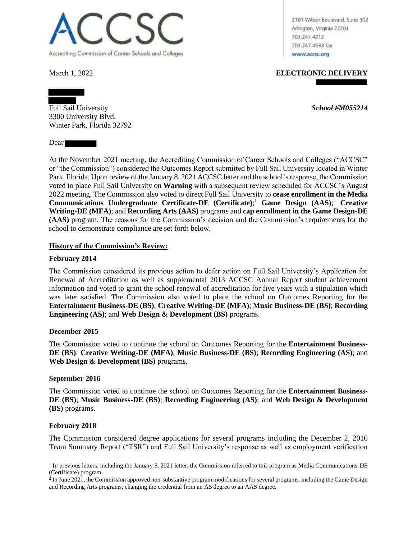

2101 Wilson Boulevard, Suite 302 Arlington, Virginia 22201 703.247.4212 703.247.4533 fax www.accsc.org

March 1, 2022 **ELECTRONIC DELIVERY**

Full Sail University *School #M055214* 3300 University Blvd. Winter Park, Florida 32792

Dear

At the November 2021 meeting, the Accrediting Commission of Career Schools and Colleges ("ACCSC" or "the Commission") considered the Outcomes Report submitted by Full Sail University located in Winter Park, Florida. Upon review of the January 8, 2021 ACCSC letter and the school's response, the Commission voted to place Full Sail University on **Warning** with a subsequent review scheduled for ACCSC's August 2022 meeting. The Commission also voted to direct Full Sail University to **cease enrollment in the Media Communications Undergraduate Certificate-DE (Certificate)**; <sup>1</sup> **Game Design (AAS)**; <sup>2</sup> **Creative Writing-DE (MFA)**; and **Recording Arts (AAS)** programs and **cap enrollment in the Game Design-DE (AAS)** program. The reasons for the Commission's decision and the Commission's requirements for the school to demonstrate compliance are set forth below.

## **History of the Commission's Review:**

### **February 2014**

The Commission considered its previous action to defer action on Full Sail University's Application for Renewal of Accreditation as well as supplemental 2013 ACCSC Annual Report student achievement information and voted to grant the school renewal of accreditation for five years with a stipulation which was later satisfied. The Commission also voted to place the school on Outcomes Reporting for the **Entertainment Business-DE (BS)**; **Creative Writing-DE (MFA)**; **Music Business-DE (BS)**; **Recording Engineering (AS)**; and **Web Design & Development (BS)** programs.

#### **December 2015**

The Commission voted to continue the school on Outcomes Reporting for the **Entertainment Business-DE (BS)**; **Creative Writing-DE (MFA)**; **Music Business-DE (BS)**; **Recording Engineering (AS)**; and **Web Design & Development (BS)** programs.

#### **September 2016**

The Commission voted to continue the school on Outcomes Reporting for the **Entertainment Business-DE (BS)**; **Music Business-DE (BS)**; **Recording Engineering (AS)**; and **Web Design & Development (BS)** programs.

#### **February 2018**

The Commission considered degree applications for several programs including the December 2, 2016 Team Summary Report ("TSR") and Full Sail University's response as well as employment verification

<sup>&</sup>lt;sup>1</sup> In previous letters, including the January 8, 2021 letter, the Commission referred to this program as Media Communications-DE (Certificate) program.

<sup>&</sup>lt;sup>2</sup> In June 2021, the Commission approved non-substantive program modifications for several programs, including the Game Design and Recording Arts programs, changing the credential from an AS degree to an AAS degree.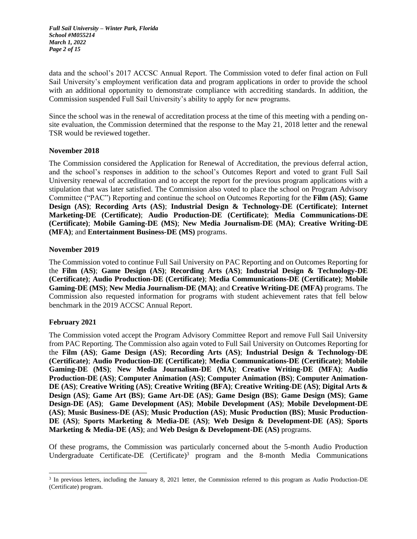*Full Sail University – Winter Park, Florida School #M055214 March 1, 2022 Page 2 of 15*

data and the school's 2017 ACCSC Annual Report. The Commission voted to defer final action on Full Sail University's employment verification data and program applications in order to provide the school with an additional opportunity to demonstrate compliance with accrediting standards. In addition, the Commission suspended Full Sail University's ability to apply for new programs.

Since the school was in the renewal of accreditation process at the time of this meeting with a pending onsite evaluation, the Commission determined that the response to the May 21, 2018 letter and the renewal TSR would be reviewed together.

### **November 2018**

The Commission considered the Application for Renewal of Accreditation, the previous deferral action, and the school's responses in addition to the school's Outcomes Report and voted to grant Full Sail University renewal of accreditation and to accept the report for the previous program applications with a stipulation that was later satisfied. The Commission also voted to place the school on Program Advisory Committee ("PAC") Reporting and continue the school on Outcomes Reporting for the **Film (AS)**; **Game Design (AS)**; **Recording Arts (AS)**; **Industrial Design & Technology-DE (Certificate)**; **Internet Marketing-DE (Certificate)**; **Audio Production-DE (Certificate)**; **Media Communications-DE (Certificate)**; **Mobile Gaming-DE (MS)**; **New Media Journalism-DE (MA)**; **Creative Writing-DE (MFA)**; and **Entertainment Business-DE (MS)** programs.

### **November 2019**

The Commission voted to continue Full Sail University on PAC Reporting and on Outcomes Reporting for the **Film (AS)**; **Game Design (AS)**; **Recording Arts (AS)**; **Industrial Design & Technology-DE (Certificate)**; **Audio Production-DE (Certificate)**; **Media Communications-DE (Certificate)**; **Mobile Gaming-DE (MS)**; **New Media Journalism-DE (MA)**; and **Creative Writing-DE (MFA)** programs. The Commission also requested information for programs with student achievement rates that fell below benchmark in the 2019 ACCSC Annual Report.

## **February 2021**

The Commission voted accept the Program Advisory Committee Report and remove Full Sail University from PAC Reporting. The Commission also again voted to Full Sail University on Outcomes Reporting for the **Film (AS)**; **Game Design (AS)**; **Recording Arts (AS)**; **Industrial Design & Technology-DE (Certificate)**; **Audio Production-DE (Certificate)**; **Media Communications-DE (Certificate)**; **Mobile Gaming-DE (MS)**; **New Media Journalism-DE (MA)**; **Creative Writing-DE (MFA)**; **Audio Production-DE (AS)**; **Computer Animation (AS)**; **Computer Animation (BS)**; **Computer Animation-DE (AS)**; **Creative Writing (AS)**; **Creative Writing (BFA)**; **Creative Writing-DE (AS)**; **Digital Arts & Design (AS)**; **Game Art (BS)**; **Game Art-DE (AS)**; **Game Design (BS)**; **Game Design (MS)**; **Game Design-DE (AS)**; **Game Development (AS)**; **Mobile Development (AS)**; **Mobile Development-DE (AS)**; **Music Business-DE (AS)**; **Music Production (AS)**; **Music Production (BS)**; **Music Production-DE (AS)**; **Sports Marketing & Media-DE (AS)**; **Web Design & Development-DE (AS)**; **Sports Marketing & Media-DE (AS)**; and **Web Design & Development-DE (AS)** programs.

Of these programs, the Commission was particularly concerned about the 5-month Audio Production Undergraduate Certificate-DE  $(C$ ertificate)<sup>3</sup> program and the 8-month Media Communications

<sup>&</sup>lt;sup>3</sup> In previous letters, including the January 8, 2021 letter, the Commission referred to this program as Audio Production-DE (Certificate) program.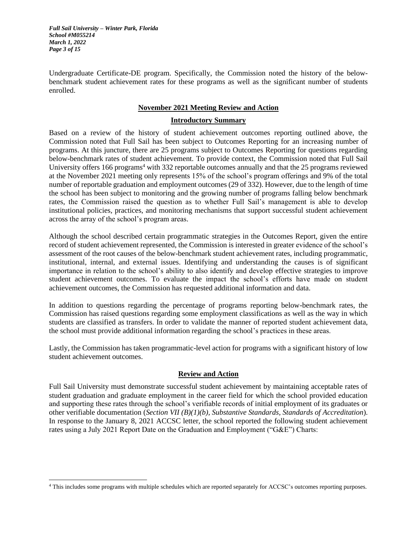*Full Sail University – Winter Park, Florida School #M055214 March 1, 2022 Page 3 of 15*

Undergraduate Certificate-DE program. Specifically, the Commission noted the history of the belowbenchmark student achievement rates for these programs as well as the significant number of students enrolled.

## **November 2021 Meeting Review and Action**

### **Introductory Summary**

Based on a review of the history of student achievement outcomes reporting outlined above, the Commission noted that Full Sail has been subject to Outcomes Reporting for an increasing number of programs. At this juncture, there are 25 programs subject to Outcomes Reporting for questions regarding below-benchmark rates of student achievement. To provide context, the Commission noted that Full Sail University offers 166 programs<sup>4</sup> with 332 reportable outcomes annually and that the 25 programs reviewed at the November 2021 meeting only represents 15% of the school's program offerings and 9% of the total number of reportable graduation and employment outcomes (29 of 332). However, due to the length of time the school has been subject to monitoring and the growing number of programs falling below benchmark rates, the Commission raised the question as to whether Full Sail's management is able to develop institutional policies, practices, and monitoring mechanisms that support successful student achievement across the array of the school's program areas.

Although the school described certain programmatic strategies in the Outcomes Report, given the entire record of student achievement represented, the Commission is interested in greater evidence of the school's assessment of the root causes of the below-benchmark student achievement rates, including programmatic, institutional, internal, and external issues. Identifying and understanding the causes is of significant importance in relation to the school's ability to also identify and develop effective strategies to improve student achievement outcomes. To evaluate the impact the school's efforts have made on student achievement outcomes, the Commission has requested additional information and data.

In addition to questions regarding the percentage of programs reporting below-benchmark rates, the Commission has raised questions regarding some employment classifications as well as the way in which students are classified as transfers. In order to validate the manner of reported student achievement data, the school must provide additional information regarding the school's practices in these areas.

Lastly, the Commission has taken programmatic-level action for programs with a significant history of low student achievement outcomes.

# **Review and Action**

Full Sail University must demonstrate successful student achievement by maintaining acceptable rates of student graduation and graduate employment in the career field for which the school provided education and supporting these rates through the school's verifiable records of initial employment of its graduates or other verifiable documentation (*Section VII (B)(1)(b), Substantive Standards, Standards of Accreditation*). In response to the January 8, 2021 ACCSC letter, the school reported the following student achievement rates using a July 2021 Report Date on the Graduation and Employment ("G&E") Charts:

<sup>4</sup> This includes some programs with multiple schedules which are reported separately for ACCSC's outcomes reporting purposes.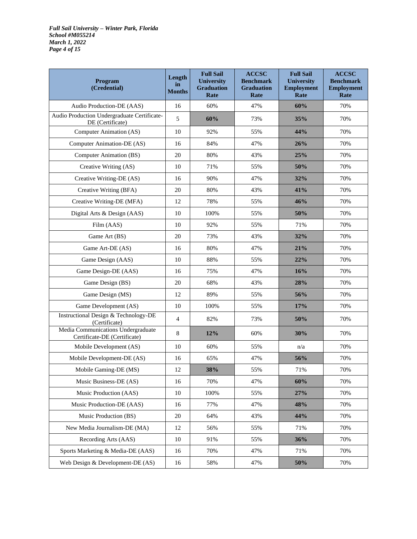*Full Sail University – Winter Park, Florida School #M055214 March 1, 2022 Page 4 of 15*

| Program<br>(Credential)                                            | Length<br>in<br><b>Months</b> | <b>Full Sail</b><br><b>University</b><br><b>Graduation</b><br>Rate | <b>ACCSC</b><br><b>Benchmark</b><br><b>Graduation</b><br>Rate | <b>Full Sail</b><br><b>University</b><br><b>Employment</b><br>Rate | <b>ACCSC</b><br><b>Benchmark</b><br><b>Employment</b><br>Rate |
|--------------------------------------------------------------------|-------------------------------|--------------------------------------------------------------------|---------------------------------------------------------------|--------------------------------------------------------------------|---------------------------------------------------------------|
| Audio Production-DE (AAS)                                          | 16                            | 60%                                                                | 47%                                                           | 60%                                                                | 70%                                                           |
| Audio Production Undergraduate Certificate-<br>DE (Certificate)    | 5                             | 60%                                                                | 73%                                                           | 35%                                                                | 70%                                                           |
| Computer Animation (AS)                                            | 10                            | 92%                                                                | 55%                                                           | 44%                                                                | 70%                                                           |
| Computer Animation-DE (AS)                                         | 16                            | 84%                                                                | 47%                                                           | 26%                                                                | 70%                                                           |
| Computer Animation (BS)                                            | 20                            | 80%                                                                | 43%                                                           | 25%                                                                | 70%                                                           |
| Creative Writing (AS)                                              | 10                            | 71%                                                                | 55%                                                           | 50%                                                                | 70%                                                           |
| Creative Writing-DE (AS)                                           | 16                            | 90%                                                                | 47%                                                           | 32%                                                                | 70%                                                           |
| Creative Writing (BFA)                                             | 20                            | 80%                                                                | 43%                                                           | 41%                                                                | 70%                                                           |
| Creative Writing-DE (MFA)                                          | 12                            | 78%                                                                | 55%                                                           | 46%                                                                | 70%                                                           |
| Digital Arts & Design (AAS)                                        | 10                            | 100%                                                               | 55%                                                           | 50%                                                                | 70%                                                           |
| Film (AAS)                                                         | 10                            | 92%                                                                | 55%                                                           | 71%                                                                | 70%                                                           |
| Game Art (BS)                                                      | 20                            | 73%                                                                | 43%                                                           | 32%                                                                | 70%                                                           |
| Game Art-DE (AS)                                                   | 16                            | 80%                                                                | 47%                                                           | 21%                                                                | 70%                                                           |
| Game Design (AAS)                                                  | 10                            | 88%                                                                | 55%                                                           | 22%                                                                | 70%                                                           |
| Game Design-DE (AAS)                                               | 16                            | 75%                                                                | 47%                                                           | 16%                                                                | 70%                                                           |
| Game Design (BS)                                                   | 20                            | 68%                                                                | 43%                                                           | 28%                                                                | 70%                                                           |
| Game Design (MS)                                                   | 12                            | 89%                                                                | 55%                                                           | 56%                                                                | 70%                                                           |
| Game Development (AS)                                              | 10                            | 100%                                                               | 55%                                                           | 17%                                                                | 70%                                                           |
| <b>Instructional Design &amp; Technology-DE</b><br>(Certificate)   | 4                             | 82%                                                                | 73%                                                           | 50%                                                                | 70%                                                           |
| Media Communications Undergraduate<br>Certificate-DE (Certificate) | 8                             | 12%                                                                | 60%                                                           | 30%                                                                | 70%                                                           |
| Mobile Development (AS)                                            | 10                            | 60%                                                                | 55%                                                           | n/a                                                                | 70%                                                           |
| Mobile Development-DE (AS)                                         | 16                            | 65%                                                                | 47%                                                           | 56%                                                                | 70%                                                           |
| Mobile Gaming-DE (MS)                                              | 12                            | 38%                                                                | 55%                                                           | 71%                                                                | 70%                                                           |
| Music Business-DE (AS)                                             | 16                            | 70%                                                                | 47%                                                           | 60%                                                                | 70%                                                           |
| Music Production (AAS)                                             | 10                            | 100%                                                               | 55%                                                           | 27%                                                                | 70%                                                           |
| Music Production-DE (AAS)                                          | 16                            | 77%                                                                | 47%                                                           | 48%                                                                | 70%                                                           |
| Music Production (BS)                                              | 20                            | 64%                                                                | 43%                                                           | 44%                                                                | 70%                                                           |
| New Media Journalism-DE (MA)                                       | 12                            | 56%                                                                | 55%                                                           | 71%                                                                | 70%                                                           |
| Recording Arts (AAS)                                               | 10                            | 91%                                                                | 55%                                                           | 36%                                                                | 70%                                                           |
| Sports Marketing & Media-DE (AAS)                                  | 16                            | 70%                                                                | 47%                                                           | 71%                                                                | 70%                                                           |
| Web Design & Development-DE (AS)                                   | 16                            | 58%                                                                | 47%                                                           | 50%                                                                | 70%                                                           |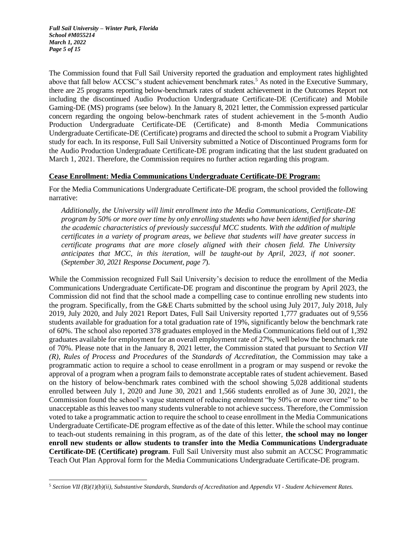*Full Sail University – Winter Park, Florida School #M055214 March 1, 2022 Page 5 of 15*

The Commission found that Full Sail University reported the graduation and employment rates highlighted above that fall below ACCSC's student achievement benchmark rates.<sup>5</sup> As noted in the Executive Summary, there are 25 programs reporting below-benchmark rates of student achievement in the Outcomes Report not including the discontinued Audio Production Undergraduate Certificate-DE (Certificate) and Mobile Gaming-DE (MS) programs (see below). In the January 8, 2021 letter, the Commission expressed particular concern regarding the ongoing below-benchmark rates of student achievement in the 5-month Audio Production Undergraduate Certificate-DE (Certificate) and 8-month Media Communications Undergraduate Certificate-DE (Certificate) programs and directed the school to submit a Program Viability study for each. In its response, Full Sail University submitted a Notice of Discontinued Programs form for the Audio Production Undergraduate Certificate-DE program indicating that the last student graduated on March 1, 2021. Therefore, the Commission requires no further action regarding this program.

## **Cease Enrollment: Media Communications Undergraduate Certificate-DE Program:**

For the Media Communications Undergraduate Certificate-DE program, the school provided the following narrative:

*Additionally, the University will limit enrollment into the Media Communications, Certificate-DE program by 50% or more over time by only enrolling students who have been identified for sharing the academic characteristics of previously successful MCC students. With the addition of multiple certificates in a variety of program areas, we believe that students will have greater success in certificate programs that are more closely aligned with their chosen field. The University anticipates that MCC, in this iteration, will be taught-out by April, 2023, if not sooner.* (*September 30, 2021 Response Document, page 7*).

While the Commission recognized Full Sail University's decision to reduce the enrollment of the Media Communications Undergraduate Certificate-DE program and discontinue the program by April 2023, the Commission did not find that the school made a compelling case to continue enrolling new students into the program. Specifically, from the G&E Charts submitted by the school using July 2017, July 2018, July 2019, July 2020, and July 2021 Report Dates, Full Sail University reported 1,777 graduates out of 9,556 students available for graduation for a total graduation rate of 19%, significantly below the benchmark rate of 60%. The school also reported 378 graduates employed in the Media Communications field out of 1,392 graduates available for employment for an overall employment rate of 27%, well below the benchmark rate of 70%. Please note that in the January 8, 2021 letter, the Commission stated that pursuant to *Section VII (R), Rules of Process and Procedures* of the *Standards of Accreditation*, the Commission may take a programmatic action to require a school to cease enrollment in a program or may suspend or revoke the approval of a program when a program fails to demonstrate acceptable rates of student achievement. Based on the history of below-benchmark rates combined with the school showing 5,028 additional students enrolled between July 1, 2020 and June 30, 2021 and 1,566 students enrolled as of June 30, 2021, the Commission found the school's vague statement of reducing enrolment "by 50% or more over time" to be unacceptable as this leaves too many students vulnerable to not achieve success. Therefore, the Commission voted to take a programmatic action to require the school to cease enrollment in the Media Communications Undergraduate Certificate-DE program effective as of the date of this letter. While the school may continue to teach-out students remaining in this program, as of the date of this letter, **the school may no longer enroll new students or allow students to transfer into the Media Communications Undergraduate Certificate-DE (Certificate) program**. Full Sail University must also submit an ACCSC Programmatic Teach Out Plan Approval form for the Media Communications Undergraduate Certificate-DE program.

<sup>5</sup> *Section VII (B)(1)(b)(ii), Substantive Standards, Standards of Accreditation* and *Appendix VI - Student Achievement Rates.*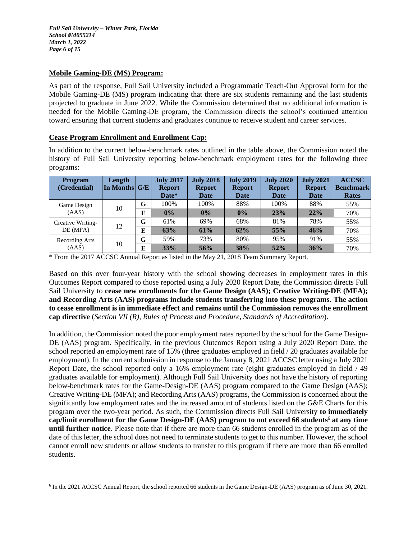## **Mobile Gaming-DE (MS) Program:**

As part of the response, Full Sail University included a Programmatic Teach-Out Approval form for the Mobile Gaming-DE (MS) program indicating that there are six students remaining and the last students projected to graduate in June 2022. While the Commission determined that no additional information is needed for the Mobile Gaming-DE program, the Commission directs the school's continued attention toward ensuring that current students and graduates continue to receive student and career services.

## **Cease Program Enrollment and Enrollment Cap:**

In addition to the current below-benchmark rates outlined in the table above, the Commission noted the history of Full Sail University reporting below-benchmark employment rates for the following three programs:

| <b>Program</b><br>(Credential) | Length<br>In Months $ G/E $ |   | <b>July 2017</b><br><b>Report</b><br>Date* | <b>July 2018</b><br><b>Report</b><br><b>Date</b> | <b>July 2019</b><br><b>Report</b><br>Date | <b>July 2020</b><br><b>Report</b><br>Date | <b>July 2021</b><br><b>Report</b><br>Date | <b>ACCSC</b><br><b>Benchmark</b><br><b>Rates</b> |
|--------------------------------|-----------------------------|---|--------------------------------------------|--------------------------------------------------|-------------------------------------------|-------------------------------------------|-------------------------------------------|--------------------------------------------------|
| Game Design                    | 10                          | G | 100%                                       | 100%                                             | 88%                                       | 100%                                      | 88%                                       | 55%                                              |
| (AdS)                          |                             | E | 0%                                         | $0\%$                                            | 0%                                        | 23%                                       | 22%                                       | 70%                                              |
| Creative Writing-              | 12                          | G | 61%                                        | 69%                                              | 68%                                       | 81%                                       | 78%                                       | 55%                                              |
| DE (MFA)                       |                             | E | 63%                                        | 61%                                              | 62%                                       | 55%                                       | 46%                                       | 70%                                              |
| Recording Arts                 |                             | G | 59%                                        | 73%                                              | 80%                                       | 95%                                       | 91%                                       | 55%                                              |
| (AdS)                          | 10                          | E | 33%                                        | 56%                                              | 38%                                       | 52%                                       | 36%                                       | 70%                                              |

\* From the 2017 ACCSC Annual Report as listed in the May 21, 2018 Team Summary Report.

Based on this over four-year history with the school showing decreases in employment rates in this Outcomes Report compared to those reported using a July 2020 Report Date, the Commission directs Full Sail University to **cease new enrollments for the Game Design (AAS); Creative Writing-DE (MFA); and Recording Arts (AAS) programs include students transferring into these programs**. **The action to cease enrollment is in immediate effect and remains until the Commission removes the enrollment cap directive** (*Section VII (R), Rules of Process and Procedure, Standards of Accreditation*).

In addition, the Commission noted the poor employment rates reported by the school for the Game Design-DE (AAS) program. Specifically, in the previous Outcomes Report using a July 2020 Report Date, the school reported an employment rate of 15% (three graduates employed in field / 20 graduates available for employment). In the current submission in response to the January 8, 2021 ACCSC letter using a July 2021 Report Date, the school reported only a 16% employment rate (eight graduates employed in field / 49 graduates available for employment). Although Full Sail University does not have the history of reporting below-benchmark rates for the Game-Design-DE (AAS) program compared to the Game Design (AAS); Creative Writing-DE (MFA); and Recording Arts (AAS) programs, the Commission is concerned about the significantly low employment rates and the increased amount of students listed on the G&E Charts for this program over the two-year period. As such, the Commission directs Full Sail University **to immediately cap/limit enrollment for the Game Design-DE (AAS) program to not exceed 66 students**<sup>6</sup> **at any time until further notice**. Please note that if there are more than 66 students enrolled in the program as of the date of this letter, the school does not need to terminate students to get to this number. However, the school cannot enroll new students or allow students to transfer to this program if there are more than 66 enrolled students.

<sup>&</sup>lt;sup>6</sup> In the 2021 ACCSC Annual Report, the school reported 66 students in the Game Design-DE (AAS) program as of June 30, 2021.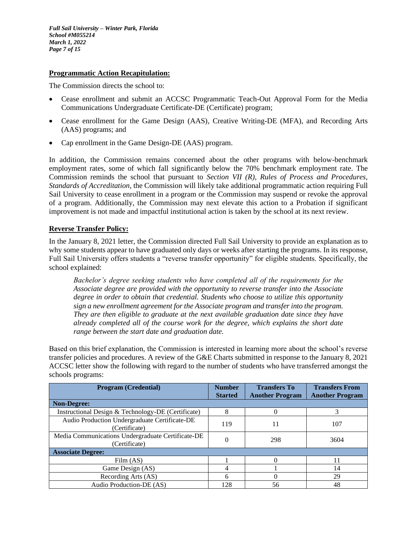*Full Sail University – Winter Park, Florida School #M055214 March 1, 2022 Page 7 of 15*

### **Programmatic Action Recapitulation:**

The Commission directs the school to:

- Cease enrollment and submit an ACCSC Programmatic Teach-Out Approval Form for the Media Communications Undergraduate Certificate-DE (Certificate) program;
- Cease enrollment for the Game Design (AAS), Creative Writing-DE (MFA), and Recording Arts (AAS) programs; and
- Cap enrollment in the Game Design-DE (AAS) program.

In addition, the Commission remains concerned about the other programs with below-benchmark employment rates, some of which fall significantly below the 70% benchmark employment rate. The Commission reminds the school that pursuant to *Section VII (R), Rules of Process and Procedures, Standards of Accreditation*, the Commission will likely take additional programmatic action requiring Full Sail University to cease enrollment in a program or the Commission may suspend or revoke the approval of a program. Additionally, the Commission may next elevate this action to a Probation if significant improvement is not made and impactful institutional action is taken by the school at its next review.

## **Reverse Transfer Policy:**

In the January 8, 2021 letter, the Commission directed Full Sail University to provide an explanation as to why some students appear to have graduated only days or weeks after starting the programs. In its response, Full Sail University offers students a "reverse transfer opportunity" for eligible students. Specifically, the school explained:

*Bachelor's degree seeking students who have completed all of the requirements for the Associate degree are provided with the opportunity to reverse transfer into the Associate degree in order to obtain that credential. Students who choose to utilize this opportunity sign a new enrollment agreement for the Associate program and transfer into the program. They are then eligible to graduate at the next available graduation date since they have already completed all of the course work for the degree, which explains the short date range between the start date and graduation date.*

Based on this brief explanation, the Commission is interested in learning more about the school's reverse transfer policies and procedures. A review of the G&E Charts submitted in response to the January 8, 2021 ACCSC letter show the following with regard to the number of students who have transferred amongst the schools programs:

| <b>Program (Credential)</b>                                        | <b>Number</b><br><b>Started</b> | <b>Transfers To</b><br><b>Another Program</b> | <b>Transfers From</b><br><b>Another Program</b> |
|--------------------------------------------------------------------|---------------------------------|-----------------------------------------------|-------------------------------------------------|
| <b>Non-Degree:</b>                                                 |                                 |                                               |                                                 |
| Instructional Design & Technology-DE (Certificate)                 | 8                               |                                               |                                                 |
| Audio Production Undergraduate Certificate-DE<br>(Certificate)     | 119                             | 11                                            | 107                                             |
| Media Communications Undergraduate Certificate-DE<br>(Certificate) | 0                               | 298                                           | 3604                                            |
| <b>Associate Degree:</b>                                           |                                 |                                               |                                                 |
| Film (AS)                                                          |                                 |                                               | 11                                              |
| Game Design (AS)                                                   | 4                               |                                               | 14                                              |
| Recording Arts (AS)                                                | 6                               |                                               | 29                                              |
| Audio Production-DE (AS)                                           | 128                             | 56                                            | 48                                              |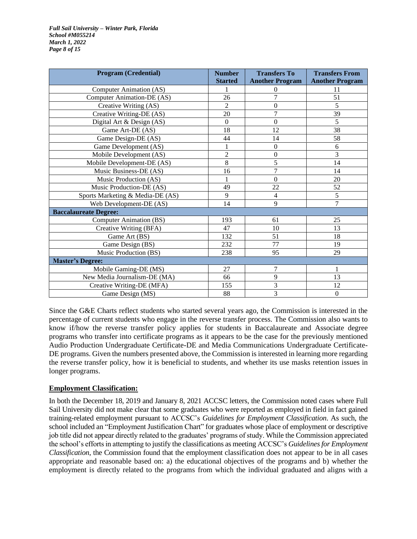*Full Sail University – Winter Park, Florida School #M055214 March 1, 2022 Page 8 of 15*

| <b>Program (Credential)</b>      | <b>Number</b><br><b>Started</b> | <b>Transfers To</b><br><b>Another Program</b> | <b>Transfers From</b><br><b>Another Program</b> |
|----------------------------------|---------------------------------|-----------------------------------------------|-------------------------------------------------|
| Computer Animation (AS)          |                                 | 0                                             | 11                                              |
| Computer Animation-DE (AS)       | 26                              | 7                                             | 51                                              |
| Creative Writing (AS)            | $\mathfrak{D}$                  | 0                                             | 5                                               |
| Creative Writing-DE (AS)         | 20                              | 7                                             | 39                                              |
| Digital Art & Design (AS)        | $\Omega$                        | 0                                             | 5                                               |
| Game Art-DE (AS)                 | 18                              | 12                                            | 38                                              |
| Game Design-DE (AS)              | 44                              | 14                                            | 58                                              |
| Game Development (AS)            |                                 | $\boldsymbol{0}$                              | 6                                               |
| Mobile Development (AS)          | $\overline{2}$                  | 0                                             | 3                                               |
| Mobile Development-DE (AS)       | 8                               | 5                                             | 14                                              |
| Music Business-DE (AS)           | 16                              | 7                                             | 14                                              |
| Music Production (AS)            |                                 | 0                                             | 20                                              |
| Music Production-DE (AS)         | 49                              | 22                                            | 52                                              |
| Sports Marketing & Media-DE (AS) | 9                               | 4                                             | 5                                               |
| Web Development-DE (AS)          | 14                              | 9                                             | 7                                               |
| <b>Baccalaureate Degree:</b>     |                                 |                                               |                                                 |
| Computer Animation (BS)          | 193                             | 61                                            | 25                                              |
| Creative Writing (BFA)           | 47                              | 10                                            | 13                                              |
| Game Art (BS)                    | 132                             | 51                                            | 18                                              |
| Game Design (BS)                 | 232                             | 77                                            | 19                                              |
| Music Production (BS)            | 238                             | 95                                            | 29                                              |
| <b>Master's Degree:</b>          |                                 |                                               |                                                 |
| Mobile Gaming-DE (MS)            | 27                              | 7                                             | 1                                               |
| New Media Journalism-DE (MA)     | 66                              | 9                                             | 13                                              |
| Creative Writing-DE (MFA)        | 155                             | 3                                             | 12                                              |
| Game Design (MS)                 | 88                              | 3                                             | $\boldsymbol{0}$                                |

Since the G&E Charts reflect students who started several years ago, the Commission is interested in the percentage of current students who engage in the reverse transfer process. The Commission also wants to know if/how the reverse transfer policy applies for students in Baccalaureate and Associate degree programs who transfer into certificate programs as it appears to be the case for the previously mentioned Audio Production Undergraduate Certificate-DE and Media Communications Undergraduate Certificate-DE programs. Given the numbers presented above, the Commission is interested in learning more regarding the reverse transfer policy, how it is beneficial to students, and whether its use masks retention issues in longer programs.

## **Employment Classification:**

In both the December 18, 2019 and January 8, 2021 ACCSC letters, the Commission noted cases where Full Sail University did not make clear that some graduates who were reported as employed in field in fact gained training-related employment pursuant to ACCSC's *Guidelines for Employment Classification*. As such, the school included an "Employment Justification Chart" for graduates whose place of employment or descriptive job title did not appear directly related to the graduates' programs of study. While the Commission appreciated the school's efforts in attempting to justify the classifications as meeting ACCSC's *Guidelines for Employment Classification*, the Commission found that the employment classification does not appear to be in all cases appropriate and reasonable based on: a) the educational objectives of the programs and b) whether the employment is directly related to the programs from which the individual graduated and aligns with a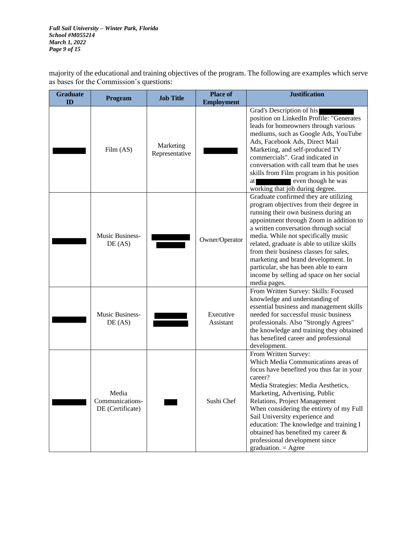*Full Sail University – Winter Park, Florida School #M055214 March 1, 2022 Page 9 of 15*

majority of the educational and training objectives of the program. The following are examples which serve as bases for the Commission's questions:

| <b>Graduate</b><br>ID | <b>Program</b>                               | <b>Job Title</b>            | <b>Place of</b><br><b>Employment</b> | <b>Justification</b>                                                                                                                                                                                                                                                                                                                                                                                                                                                                     |
|-----------------------|----------------------------------------------|-----------------------------|--------------------------------------|------------------------------------------------------------------------------------------------------------------------------------------------------------------------------------------------------------------------------------------------------------------------------------------------------------------------------------------------------------------------------------------------------------------------------------------------------------------------------------------|
|                       | Film (AS)                                    | Marketing<br>Representative |                                      | Grad's Description of his<br>position on LinkedIn Profile: "Generates<br>leads for homeowners through various<br>mediums, such as Google Ads, YouTube<br>Ads, Facebook Ads, Direct Mail<br>Marketing, and self-produced TV<br>commercials". Grad indicated in<br>conversation with call team that he uses<br>skills from Film program in his position<br>even though he was<br>at<br>working that job during degree.                                                                     |
|                       | Music Business-<br>DE(AS)                    |                             | Owner/Operator                       | Graduate confirmed they are utilizing<br>program objectives from their degree in<br>running their own business during an<br>appointment through Zoom in addition to<br>a written conversation through social<br>media. While not specifically music<br>related, graduate is able to utilize skills<br>from their business classes for sales,<br>marketing and brand development. In<br>particular, she has been able to earn<br>income by selling ad space on her social<br>media pages. |
|                       | <b>Music Business-</b><br>DE(AS)             |                             | Executive<br>Assistant               | From Written Survey: Skills: Focused<br>knowledge and understanding of<br>essential business and management skills<br>needed for successful music business<br>professionals. Also "Strongly Agrees"<br>the knowledge and training they obtained<br>has benefited career and professional<br>development.                                                                                                                                                                                 |
|                       | Media<br>Communications-<br>DE (Certificate) |                             | Sushi Chef                           | From Written Survey:<br>Which Media Communications areas of<br>focus have benefited you thus far in your<br>career?<br>Media Strategies: Media Aesthetics,<br>Marketing, Advertising, Public<br>Relations, Project Management<br>When considering the entirety of my Full<br>Sail University experience and<br>education: The knowledge and training I<br>obtained has benefited my career &<br>professional development since<br>graduation. $=$ Agree                                  |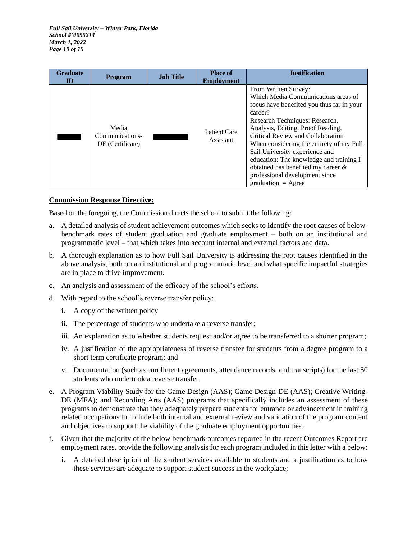*Full Sail University – Winter Park, Florida School #M055214 March 1, 2022 Page 10 of 15*

| <b>Graduate</b><br>ID | <b>Program</b>                               | <b>Job Title</b> | <b>Place of</b><br><b>Employment</b> | <b>Justification</b>                                                                                                                                                                                                                                                                                                                                                                                                                                     |
|-----------------------|----------------------------------------------|------------------|--------------------------------------|----------------------------------------------------------------------------------------------------------------------------------------------------------------------------------------------------------------------------------------------------------------------------------------------------------------------------------------------------------------------------------------------------------------------------------------------------------|
|                       | Media<br>Communications-<br>DE (Certificate) |                  | Patient Care<br>Assistant            | From Written Survey:<br>Which Media Communications areas of<br>focus have benefited you thus far in your<br>career?<br>Research Techniques: Research,<br>Analysis, Editing, Proof Reading,<br>Critical Review and Collaboration<br>When considering the entirety of my Full<br>Sail University experience and<br>education: The knowledge and training I<br>obtained has benefited my career &<br>professional development since<br>$graduation = Agree$ |

# **Commission Response Directive:**

Based on the foregoing, the Commission directs the school to submit the following:

- a. A detailed analysis of student achievement outcomes which seeks to identify the root causes of belowbenchmark rates of student graduation and graduate employment – both on an institutional and programmatic level – that which takes into account internal and external factors and data.
- b. A thorough explanation as to how Full Sail University is addressing the root causes identified in the above analysis, both on an institutional and programmatic level and what specific impactful strategies are in place to drive improvement.
- c. An analysis and assessment of the efficacy of the school's efforts.
- d. With regard to the school's reverse transfer policy:
	- i. A copy of the written policy
	- ii. The percentage of students who undertake a reverse transfer;
	- iii. An explanation as to whether students request and/or agree to be transferred to a shorter program;
	- iv. A justification of the appropriateness of reverse transfer for students from a degree program to a short term certificate program; and
	- v. Documentation (such as enrollment agreements, attendance records, and transcripts) for the last 50 students who undertook a reverse transfer.
- e. A Program Viability Study for the Game Design (AAS); Game Design-DE (AAS); Creative Writing-DE (MFA); and Recording Arts (AAS) programs that specifically includes an assessment of these programs to demonstrate that they adequately prepare students for entrance or advancement in training related occupations to include both internal and external review and validation of the program content and objectives to support the viability of the graduate employment opportunities.
- f. Given that the majority of the below benchmark outcomes reported in the recent Outcomes Report are employment rates, provide the following analysis for each program included in this letter with a below:
	- i. A detailed description of the student services available to students and a justification as to how these services are adequate to support student success in the workplace;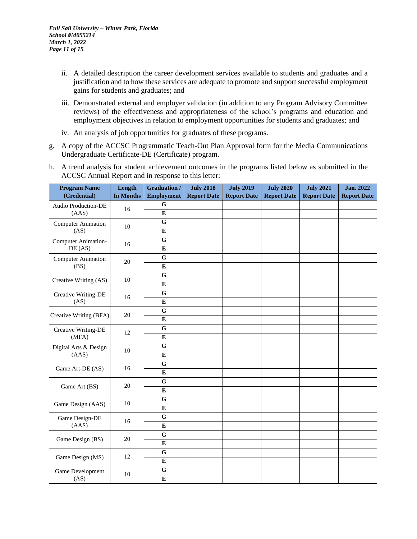- ii. A detailed description the career development services available to students and graduates and a justification and to how these services are adequate to promote and support successful employment gains for students and graduates; and
- iii. Demonstrated external and employer validation (in addition to any Program Advisory Committee reviews) of the effectiveness and appropriateness of the school's programs and education and employment objectives in relation to employment opportunities for students and graduates; and
- iv. An analysis of job opportunities for graduates of these programs.
- g. A copy of the ACCSC Programmatic Teach-Out Plan Approval form for the Media Communications Undergraduate Certificate-DE (Certificate) program.
- h. A trend analysis for student achievement outcomes in the programs listed below as submitted in the ACCSC Annual Report and in response to this letter:

| <b>Program Name</b>       | Length    | <b>Graduation /</b> | <b>July 2018</b>   | <b>July 2019</b>   | <b>July 2020</b>   | <b>July 2021</b>   | <b>Jan. 2022</b>   |
|---------------------------|-----------|---------------------|--------------------|--------------------|--------------------|--------------------|--------------------|
| (Credential)              | In Months | <b>Employment</b>   | <b>Report Date</b> | <b>Report Date</b> | <b>Report Date</b> | <b>Report Date</b> | <b>Report Date</b> |
| Audio Production-DE       | 16        | G                   |                    |                    |                    |                    |                    |
| (AAS)                     |           | $\bf{E}$            |                    |                    |                    |                    |                    |
| Computer Animation        | 10        | G                   |                    |                    |                    |                    |                    |
| (AS)                      |           | $\bf{E}$            |                    |                    |                    |                    |                    |
| Computer Animation-       | 16        | $\mathbf G$         |                    |                    |                    |                    |                    |
| DE(AS)                    |           | ${\bf E}$           |                    |                    |                    |                    |                    |
| <b>Computer Animation</b> | 20        | $\mathbf G$         |                    |                    |                    |                    |                    |
| (BS)                      |           | ${\bf E}$           |                    |                    |                    |                    |                    |
| Creative Writing (AS)     | $10\,$    | $\overline{G}$      |                    |                    |                    |                    |                    |
|                           |           | ${\bf E}$           |                    |                    |                    |                    |                    |
| Creative Writing-DE       | 16        | $\mathbf G$         |                    |                    |                    |                    |                    |
| (AS)                      |           | ${\bf E}$           |                    |                    |                    |                    |                    |
| Creative Writing (BFA)    | 20        | G                   |                    |                    |                    |                    |                    |
|                           |           | $\bf{E}$            |                    |                    |                    |                    |                    |
| Creative Writing-DE       | 12        | $\mathbf G$         |                    |                    |                    |                    |                    |
| (MFA)                     |           | ${\bf E}$           |                    |                    |                    |                    |                    |
| Digital Arts & Design     | $10\,$    | $\overline{G}$      |                    |                    |                    |                    |                    |
| (AAS)                     |           | E                   |                    |                    |                    |                    |                    |
| Game Art-DE (AS)          | 16        | G                   |                    |                    |                    |                    |                    |
|                           |           | ${\bf E}$           |                    |                    |                    |                    |                    |
| Game Art (BS)             | 20        | $\mathbf G$         |                    |                    |                    |                    |                    |
|                           |           | ${\bf E}$           |                    |                    |                    |                    |                    |
| Game Design (AAS)         | 10        | G                   |                    |                    |                    |                    |                    |
|                           |           | $\bf{E}$            |                    |                    |                    |                    |                    |
| Game Design-DE            | 16        | G                   |                    |                    |                    |                    |                    |
| (AAS)                     |           | $\bf{E}$            |                    |                    |                    |                    |                    |
| Game Design (BS)          | 20        | G                   |                    |                    |                    |                    |                    |
|                           |           | ${\bf E}$           |                    |                    |                    |                    |                    |
| Game Design (MS)          | 12        | $\mathbf G$         |                    |                    |                    |                    |                    |
|                           |           | ${\bf E}$           |                    |                    |                    |                    |                    |
| Game Development          | 10        | G                   |                    |                    |                    |                    |                    |
| (AS)                      |           | ${\bf E}$           |                    |                    |                    |                    |                    |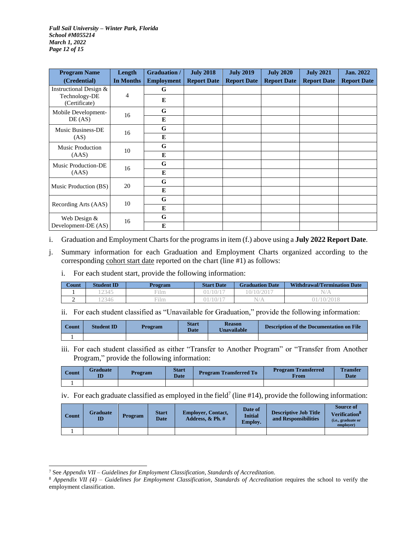*Full Sail University – Winter Park, Florida School #M055214 March 1, 2022 Page 12 of 15*

| <b>Program Name</b><br>(Credential) | Length<br>In Months | <b>Graduation /</b><br><b>Employment</b> | <b>July 2018</b><br><b>Report Date</b> | <b>July 2019</b><br><b>Report Date</b> | <b>July 2020</b><br><b>Report Date</b> | <b>July 2021</b><br><b>Report Date</b> | Jan. 2022<br><b>Report Date</b> |
|-------------------------------------|---------------------|------------------------------------------|----------------------------------------|----------------------------------------|----------------------------------------|----------------------------------------|---------------------------------|
| Instructional Design &              |                     | G                                        |                                        |                                        |                                        |                                        |                                 |
| Technology-DE<br>(Certificate)      | 4                   | E                                        |                                        |                                        |                                        |                                        |                                 |
| Mobile Development-                 | 16                  | G                                        |                                        |                                        |                                        |                                        |                                 |
| DE(AS)                              |                     | E                                        |                                        |                                        |                                        |                                        |                                 |
| Music Business-DE                   | 16                  | G                                        |                                        |                                        |                                        |                                        |                                 |
| (AS)                                |                     | E                                        |                                        |                                        |                                        |                                        |                                 |
| <b>Music Production</b>             | 10                  | G                                        |                                        |                                        |                                        |                                        |                                 |
| (AdS)                               |                     | E                                        |                                        |                                        |                                        |                                        |                                 |
| Music Production-DE                 | 16                  | G                                        |                                        |                                        |                                        |                                        |                                 |
| (AdS)                               |                     | E                                        |                                        |                                        |                                        |                                        |                                 |
|                                     | 20                  | G                                        |                                        |                                        |                                        |                                        |                                 |
| Music Production (BS)               |                     | E                                        |                                        |                                        |                                        |                                        |                                 |
|                                     | 10                  | G                                        |                                        |                                        |                                        |                                        |                                 |
| Recording Arts (AAS)                |                     | E                                        |                                        |                                        |                                        |                                        |                                 |
| Web Design &                        | 16                  | G                                        |                                        |                                        |                                        |                                        |                                 |
| Development-DE (AS)                 |                     | E                                        |                                        |                                        |                                        |                                        |                                 |

i. Graduation and Employment Charts for the programs in item (f.) above using a **July 2022 Report Date**.

- j. Summary information for each Graduation and Employment Charts organized according to the corresponding cohort start date reported on the chart (line #1) as follows:
	- i. For each student start, provide the following information:

| Count | <b>Student ID</b> | <b>Program</b> | <b>Start Date</b> | <b>Graduation Date</b> | <b>Withdrawal/Termination Date</b> |
|-------|-------------------|----------------|-------------------|------------------------|------------------------------------|
|       | 2345              | <b>Film</b>    | 10/1              | .0/10/2017             | N.                                 |
| ∼     | 2346              | Film           | 10/1              | N/A                    | 01/10/2018                         |

ii. For each student classified as "Unavailable for Graduation," provide the following information:

| Count | <b>Student ID</b> | Program | <b>Start</b><br><b>Date</b> | <b>Reason</b><br><b>Unavailable</b> | <b>Description of the Documentation on File</b> |
|-------|-------------------|---------|-----------------------------|-------------------------------------|-------------------------------------------------|
|       |                   |         |                             |                                     |                                                 |

iii. For each student classified as either "Transfer to Another Program" or "Transfer from Another Program," provide the following information:

| Count | <b>Graduate</b><br>M | Program | <b>Start</b><br><b>Date</b> | <b>Program Transferred To</b> | <b>Program Transferred</b><br>From | <b>Transfer</b><br>Date |
|-------|----------------------|---------|-----------------------------|-------------------------------|------------------------------------|-------------------------|
|       |                      |         |                             |                               |                                    |                         |

iv. For each graduate classified as employed in the field<sup>7</sup> (line #14), provide the following information:

| Count | <b>Graduate</b><br>ID | <b>Program</b> | <b>Start</b><br><b>Date</b> | <b>Employer, Contact,</b><br>Address, $\&$ Ph. $\#$ | Date of<br><b>Initial</b><br><b>Employ.</b> | <b>Descriptive Job Title</b><br>and Responsibilities | <b>Source of</b><br>Verification <sup>o</sup><br>(i.e., graduate or<br>employer) |
|-------|-----------------------|----------------|-----------------------------|-----------------------------------------------------|---------------------------------------------|------------------------------------------------------|----------------------------------------------------------------------------------|
|       |                       |                |                             |                                                     |                                             |                                                      |                                                                                  |

<sup>7</sup> See *Appendix VII – Guidelines for Employment Classification, Standards of Accreditation.*

<sup>8</sup> *Appendix VII (4) – Guidelines for Employment Classification, Standards of Accreditation* requires the school to verify the employment classification.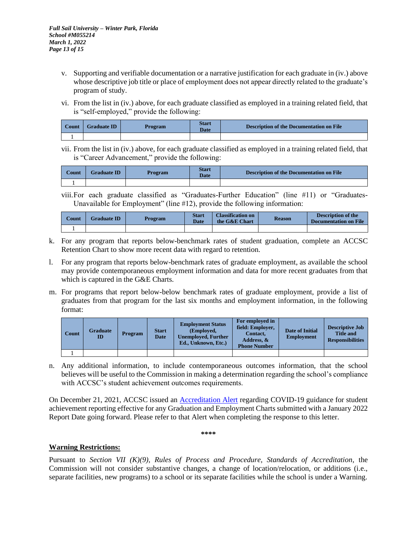- v. Supporting and verifiable documentation or a narrative justification for each graduate in (iv.) above whose descriptive job title or place of employment does not appear directly related to the graduate's program of study.
- vi. From the list in (iv.) above, for each graduate classified as employed in a training related field, that is "self-employed," provide the following:

| <b>Count</b> | <b>Graduate ID</b> | <b>Program</b> | <b>Start</b><br><b>Date</b> | <b>Description of the Documentation on File</b> |
|--------------|--------------------|----------------|-----------------------------|-------------------------------------------------|
|              |                    |                |                             |                                                 |

vii. From the list in (iv.) above, for each graduate classified as employed in a training related field, that is "Career Advancement," provide the following:

| $_{\rm Count}$ | <b>Graduate ID</b> | Program | <b>Start</b><br><b>Date</b> | <b>Description of the Documentation on File</b> |
|----------------|--------------------|---------|-----------------------------|-------------------------------------------------|
|                |                    |         |                             |                                                 |

viii.For each graduate classified as "Graduates-Further Education" (line #11) or "Graduates-Unavailable for Employment" (line #12), provide the following information:

| $\operatorname{Count}$ | <b>Graduate ID</b> | Program | <b>Start</b><br><b>Date</b> | <b>Classification on</b><br>the G&E Chart | <b>Reason</b> | <b>Description of the</b><br><b>Documentation on File</b> |
|------------------------|--------------------|---------|-----------------------------|-------------------------------------------|---------------|-----------------------------------------------------------|
|                        |                    |         |                             |                                           |               |                                                           |

- k. For any program that reports below-benchmark rates of student graduation, complete an ACCSC Retention Chart to show more recent data with regard to retention.
- l. For any program that reports below-benchmark rates of graduate employment, as available the school may provide contemporaneous employment information and data for more recent graduates from that which is captured in the G&E Charts.
- m. For programs that report below-below benchmark rates of graduate employment, provide a list of graduates from that program for the last six months and employment information, in the following format:

| Count | <b>Graduate</b><br>ID | <b>Program</b> | <b>Start</b><br><b>Date</b> | <b>Employment Status</b><br>(Employed,<br><b>Unemployed, Further</b><br>Ed., Unknown, Etc.) | For employed in<br>field: Employer,<br>Contact,<br>Address, &<br><b>Phone Number</b> | <b>Date of Initial</b><br><b>Employment</b> | <b>Descriptive Job</b><br><b>Title and</b><br><b>Responsibilities</b> |
|-------|-----------------------|----------------|-----------------------------|---------------------------------------------------------------------------------------------|--------------------------------------------------------------------------------------|---------------------------------------------|-----------------------------------------------------------------------|
|       |                       |                |                             |                                                                                             |                                                                                      |                                             |                                                                       |

n. Any additional information, to include contemporaneous outcomes information, that the school believes will be useful to the Commission in making a determination regarding the school's compliance with ACCSC's student achievement outcomes requirements.

On December 21, 2021, ACCSC issued an [Accreditation Alert](https://www.accsc.org/UploadedDocuments/Alerts/ACCSC-Accreditation-Alert-12212021.pdf) regarding COVID-19 guidance for student achievement reporting effective for any Graduation and Employment Charts submitted with a January 2022 Report Date going forward. Please refer to that Alert when completing the response to this letter.

**\*\*\*\***

# **Warning Restrictions:**

Pursuant to *Section VII (K)(9), Rules of Process and Procedure, Standards of Accreditation*, the Commission will not consider substantive changes, a change of location/relocation, or additions (i.e., separate facilities, new programs) to a school or its separate facilities while the school is under a Warning.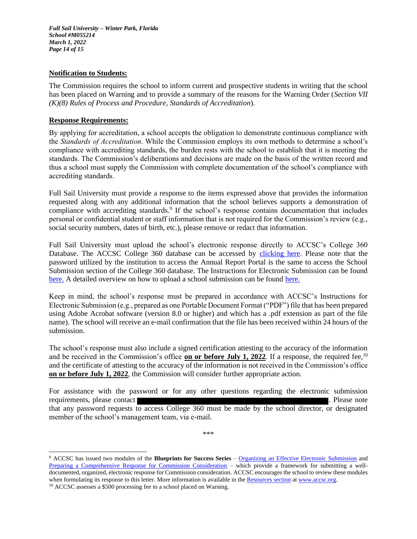*Full Sail University – Winter Park, Florida School #M055214 March 1, 2022 Page 14 of 15*

### **Notification to Students:**

The Commission requires the school to inform current and prospective students in writing that the school has been placed on Warning and to provide a summary of the reasons for the Warning Order (*Section VII (K)(8) Rules of Process and Procedure, Standards of Accreditation*).

### **Response Requirements:**

By applying for accreditation, a school accepts the obligation to demonstrate continuous compliance with the *Standards of Accreditation*. While the Commission employs its own methods to determine a school's compliance with accrediting standards, the burden rests with the school to establish that it is meeting the standards. The Commission's deliberations and decisions are made on the basis of the written record and thus a school must supply the Commission with complete documentation of the school's compliance with accrediting standards.

Full Sail University must provide a response to the items expressed above that provides the information requested along with any additional information that the school believes supports a demonstration of compliance with accrediting standards.<sup>9</sup> If the school's response contains documentation that includes personal or confidential student or staff information that is not required for the Commission's review (e.g., social security numbers, dates of birth, etc.), please remove or redact that information.

Full Sail University must upload the school's electronic response directly to ACCSC's College 360 Database. The ACCSC College 360 database can be accessed by [clicking here.](https://college360.accsc.org/logon.aspx) Please note that the password utilized by the institution to access the Annual Report Portal is the same to access the School Submission section of the College 360 database. The Instructions for Electronic Submission can be found [here.](http://www.accsc.org/UploadedDocuments/July%202015/Instructions%20for%20Electronic%20070115.docx) A detailed overview on how to upload a school submission can be foun[d here.](http://www.accsc.org/UploadedDocuments/July%202015/School%20Submission%20Project%20Full%20Directions%20v3.docx)

Keep in mind, the school's response must be prepared in accordance with ACCSC's Instructions for Electronic Submission (e.g., prepared as one Portable Document Format ("PDF") file that has been prepared using Adobe Acrobat software (version 8.0 or higher) and which has a .pdf extension as part of the file name). The school will receive an e-mail confirmation that the file has been received within 24 hours of the submission.

The school's response must also include a signed certification attesting to the accuracy of the information and be received in the Commission's office **on or before July 1, 2022**. If a response, the required fee,<sup>10</sup> and the certificate of attesting to the accuracy of the information is not received in the Commission's office **on or before July 1, 2022**, the Commission will consider further appropriate action.

For assistance with the password or for any other questions regarding the electronic submission requirements, please contact **and a set of the contact** . Please note is a set of the please note in the set of the set of the set of the set of the set of the set of the set of the set of the set of the set of the set of that any password requests to access College 360 must be made by the school director, or designated member of the school's management team, via e-mail.

\*\*\*

<sup>9</sup> ACCSC has issued two modules of the **Blueprints for Success Series** – [Organizing an Effective Electronic Submission](http://www.accsc.org/UploadedDocuments/Blueprint%20for%20Success%20-%20Organizing%20an%20Electronic%20Submission%20FINAL.pdf) and [Preparing a Comprehensive Response for Commission Consideration](http://www.accsc.org/UploadedDocuments/Blueprint%20for%20Success%20Preparing%20a%20Comprehensive%20Response%20for%20Commission%20Consideration%20%20FINAL.pdf) – which provide a framework for submitting a welldocumented, organized, electronic response for Commission consideration. ACCSC encourages the school to review these modules when formulating its response to this letter. More information is available in th[e Resources section](http://www.accsc.org/Resources/Blueprints-for-Success.aspx) a[t www.accsc.org.](http://www.accsc.org/) <sup>10</sup> ACCSC assesses a \$500 processing fee to a school placed on Warning.